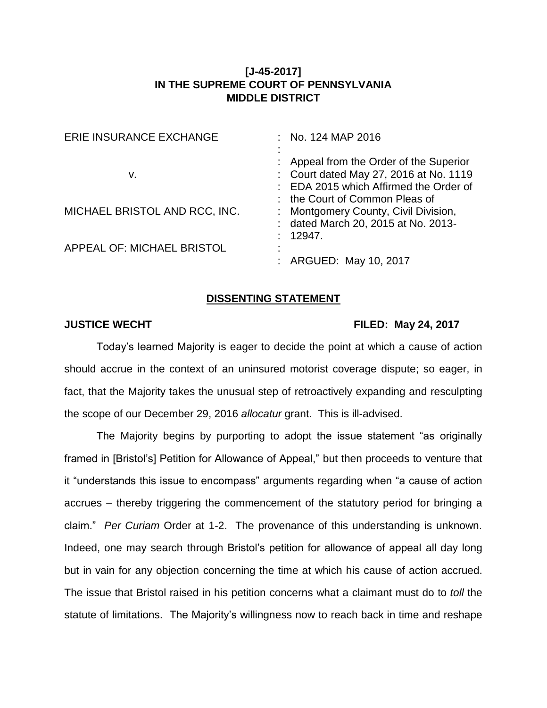## **[J-45-2017] IN THE SUPREME COURT OF PENNSYLVANIA MIDDLE DISTRICT**

| ERIE INSURANCE EXCHANGE       | : No. 124 MAP 2016                                                                                                          |
|-------------------------------|-----------------------------------------------------------------------------------------------------------------------------|
| v.                            | : Appeal from the Order of the Superior<br>: Court dated May 27, 2016 at No. 1119<br>: EDA 2015 which Affirmed the Order of |
| MICHAEL BRISTOL AND RCC, INC. | : the Court of Common Pleas of<br>: Montgomery County, Civil Division,<br>: dated March 20, 2015 at No. 2013-               |
| APPEAL OF: MICHAEL BRISTOL    | - 12947.<br>: ARGUED: May 10, 2017                                                                                          |

## **DISSENTING STATEMENT**

## **JUSTICE WECHT FILED: May 24, 2017**

Today's learned Majority is eager to decide the point at which a cause of action should accrue in the context of an uninsured motorist coverage dispute; so eager, in fact, that the Majority takes the unusual step of retroactively expanding and resculpting the scope of our December 29, 2016 *allocatur* grant. This is ill-advised.

The Majority begins by purporting to adopt the issue statement "as originally framed in [Bristol's] Petition for Allowance of Appeal," but then proceeds to venture that it "understands this issue to encompass" arguments regarding when "a cause of action accrues – thereby triggering the commencement of the statutory period for bringing a claim." *Per Curiam* Order at 1-2. The provenance of this understanding is unknown. Indeed, one may search through Bristol's petition for allowance of appeal all day long but in vain for any objection concerning the time at which his cause of action accrued. The issue that Bristol raised in his petition concerns what a claimant must do to *toll* the statute of limitations. The Majority's willingness now to reach back in time and reshape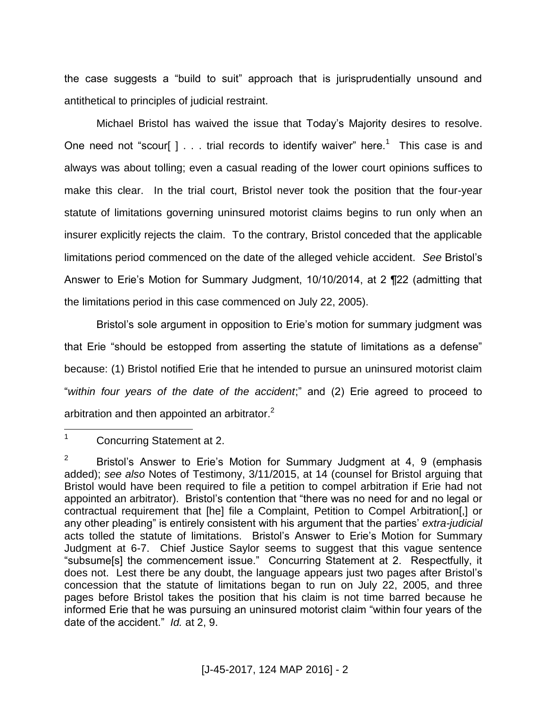the case suggests a "build to suit" approach that is jurisprudentially unsound and antithetical to principles of judicial restraint.

Michael Bristol has waived the issue that Today's Majority desires to resolve. One need not "scour[ ]  $\ldots$  trial records to identify waiver" here.<sup>1</sup> This case is and always was about tolling; even a casual reading of the lower court opinions suffices to make this clear. In the trial court, Bristol never took the position that the four-year statute of limitations governing uninsured motorist claims begins to run only when an insurer explicitly rejects the claim. To the contrary, Bristol conceded that the applicable limitations period commenced on the date of the alleged vehicle accident. *See* Bristol's Answer to Erie's Motion for Summary Judgment, 10/10/2014, at 2 ¶22 (admitting that the limitations period in this case commenced on July 22, 2005).

Bristol's sole argument in opposition to Erie's motion for summary judgment was that Erie "should be estopped from asserting the statute of limitations as a defense" because: (1) Bristol notified Erie that he intended to pursue an uninsured motorist claim "*within four years of the date of the accident*;" and (2) Erie agreed to proceed to arbitration and then appointed an arbitrator.<sup>2</sup>

 $\mathbf{1}$ <sup>1</sup> Concurring Statement at 2.

<sup>&</sup>lt;sup>2</sup> Bristol's Answer to Erie's Motion for Summary Judgment at 4, 9 (emphasis added); *see also* Notes of Testimony, 3/11/2015, at 14 (counsel for Bristol arguing that Bristol would have been required to file a petition to compel arbitration if Erie had not appointed an arbitrator). Bristol's contention that "there was no need for and no legal or contractual requirement that [he] file a Complaint, Petition to Compel Arbitration[,] or any other pleading" is entirely consistent with his argument that the parties' *extra-judicial* acts tolled the statute of limitations. Bristol's Answer to Erie's Motion for Summary Judgment at 6-7. Chief Justice Saylor seems to suggest that this vague sentence "subsume[s] the commencement issue." Concurring Statement at 2. Respectfully, it does not. Lest there be any doubt, the language appears just two pages after Bristol's concession that the statute of limitations began to run on July 22, 2005, and three pages before Bristol takes the position that his claim is not time barred because he informed Erie that he was pursuing an uninsured motorist claim "within four years of the date of the accident." *Id.* at 2, 9.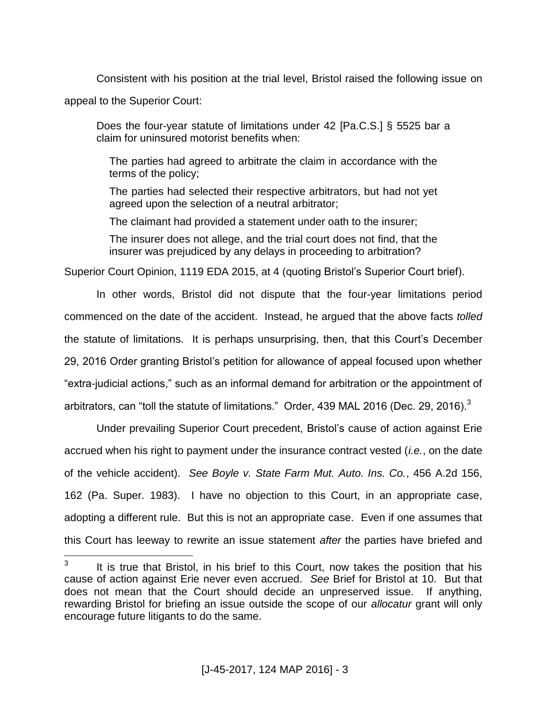Consistent with his position at the trial level, Bristol raised the following issue on appeal to the Superior Court:

Does the four-year statute of limitations under 42 [Pa.C.S.] § 5525 bar a claim for uninsured motorist benefits when:

The parties had agreed to arbitrate the claim in accordance with the terms of the policy;

The parties had selected their respective arbitrators, but had not yet agreed upon the selection of a neutral arbitrator;

The claimant had provided a statement under oath to the insurer;

The insurer does not allege, and the trial court does not find, that the insurer was prejudiced by any delays in proceeding to arbitration?

Superior Court Opinion, 1119 EDA 2015, at 4 (quoting Bristol's Superior Court brief).

In other words, Bristol did not dispute that the four-year limitations period commenced on the date of the accident. Instead, he argued that the above facts *tolled*  the statute of limitations. It is perhaps unsurprising, then, that this Court's December 29, 2016 Order granting Bristol's petition for allowance of appeal focused upon whether "extra-judicial actions," such as an informal demand for arbitration or the appointment of arbitrators, can "toll the statute of limitations." Order, 439 MAL 2016 (Dec. 29, 2016). $3$ 

Under prevailing Superior Court precedent, Bristol's cause of action against Erie accrued when his right to payment under the insurance contract vested (*i.e.*, on the date of the vehicle accident). *See Boyle v. State Farm Mut. Auto. Ins. Co.*, 456 A.2d 156, 162 (Pa. Super. 1983). I have no objection to this Court, in an appropriate case, adopting a different rule. But this is not an appropriate case. Even if one assumes that this Court has leeway to rewrite an issue statement *after* the parties have briefed and

 $\overline{a}$ 

<sup>3</sup> It is true that Bristol, in his brief to this Court, now takes the position that his cause of action against Erie never even accrued. *See* Brief for Bristol at 10. But that does not mean that the Court should decide an unpreserved issue. If anything, rewarding Bristol for briefing an issue outside the scope of our *allocatur* grant will only encourage future litigants to do the same.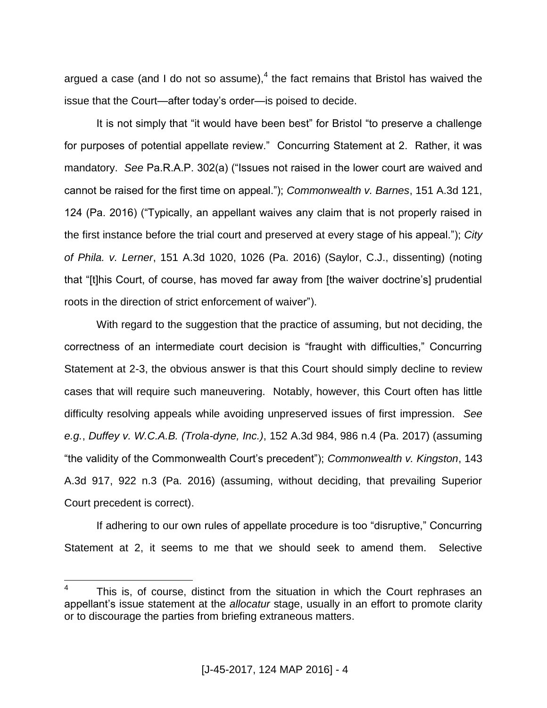argued a case (and I do not so assume), $4$  the fact remains that Bristol has waived the issue that the Court—after today's order—is poised to decide.

It is not simply that "it would have been best" for Bristol "to preserve a challenge for purposes of potential appellate review." Concurring Statement at 2. Rather, it was mandatory. *See* Pa.R.A.P. 302(a) ("Issues not raised in the lower court are waived and cannot be raised for the first time on appeal."); *Commonwealth v. Barnes*, 151 A.3d 121, 124 (Pa. 2016) ("Typically, an appellant waives any claim that is not properly raised in the first instance before the trial court and preserved at every stage of his appeal."); *City of Phila. v. Lerner*, 151 A.3d 1020, 1026 (Pa. 2016) (Saylor, C.J., dissenting) (noting that "[t]his Court, of course, has moved far away from [the waiver doctrine's] prudential roots in the direction of strict enforcement of waiver").

With regard to the suggestion that the practice of assuming, but not deciding, the correctness of an intermediate court decision is "fraught with difficulties," Concurring Statement at 2-3, the obvious answer is that this Court should simply decline to review cases that will require such maneuvering. Notably, however, this Court often has little difficulty resolving appeals while avoiding unpreserved issues of first impression. *See e.g.*, *Duffey v. W.C.A.B. (Trola-dyne, Inc.)*, 152 A.3d 984, 986 n.4 (Pa. 2017) (assuming "the validity of the Commonwealth Court's precedent"); *Commonwealth v. Kingston*, 143 A.3d 917, 922 n.3 (Pa. 2016) (assuming, without deciding, that prevailing Superior Court precedent is correct).

If adhering to our own rules of appellate procedure is too "disruptive," Concurring Statement at 2, it seems to me that we should seek to amend them. Selective

 $\overline{a}$ 

<sup>4</sup> This is, of course, distinct from the situation in which the Court rephrases an appellant's issue statement at the *allocatur* stage, usually in an effort to promote clarity or to discourage the parties from briefing extraneous matters.